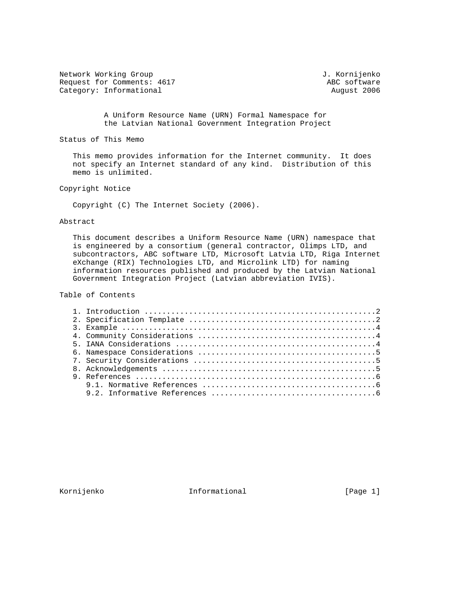Network Working Group 3. Wetwork Working Group 3. Wetwork J. Kornijenko Request for Comments: 4617 ABC software<br>
Category: Informational August 2006 Category: Informational

 A Uniform Resource Name (URN) Formal Namespace for the Latvian National Government Integration Project

Status of This Memo

 This memo provides information for the Internet community. It does not specify an Internet standard of any kind. Distribution of this memo is unlimited.

Copyright Notice

Copyright (C) The Internet Society (2006).

## Abstract

 This document describes a Uniform Resource Name (URN) namespace that is engineered by a consortium (general contractor, Olimps LTD, and subcontractors, ABC software LTD, Microsoft Latvia LTD, Riga Internet eXchange (RIX) Technologies LTD, and Microlink LTD) for naming information resources published and produced by the Latvian National Government Integration Project (Latvian abbreviation IVIS).

Table of Contents

Kornijenko 11. Informational 1999 [Page 1]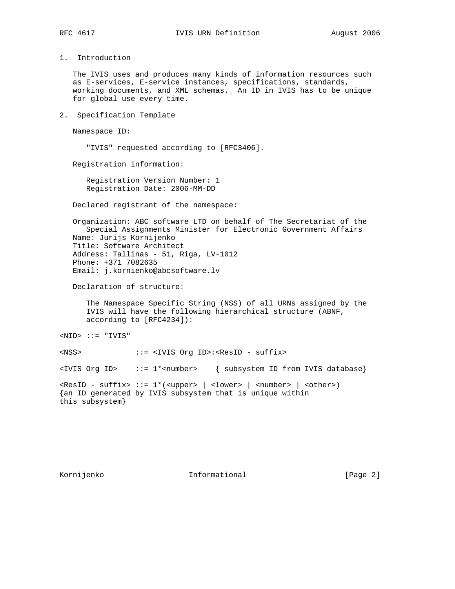1. Introduction

 The IVIS uses and produces many kinds of information resources such as E-services, E-service instances, specifications, standards, working documents, and XML schemas. An ID in IVIS has to be unique for global use every time.

2. Specification Template

Namespace ID:

"IVIS" requested according to [RFC3406].

Registration information:

 Registration Version Number: 1 Registration Date: 2006-MM-DD

Declared registrant of the namespace:

 Organization: ABC software LTD on behalf of The Secretariat of the Special Assignments Minister for Electronic Government Affairs Name: Jurijs Kornijenko Title: Software Architect Address: Tallinas - 51, Riga, LV-1012 Phone: +371 7082635 Email: j.kornienko@abcsoftware.lv

Declaration of structure:

 The Namespace Specific String (NSS) of all URNs assigned by the IVIS will have the following hierarchical structure (ABNF, according to [RFC4234]):

 $<$ NID>  $::=$  "IVIS"

<NSS> ::= <IVIS Org ID>:<ResID - suffix>

<IVIS Org ID> ::= 1\*<number> { subsystem ID from IVIS database}

```
\leqResID - suffix> ::= 1*(<upper> | <lower> | <number> | <other>)
{an ID generated by IVIS subsystem that is unique within
this subsystem}
```
Kornijenko 1nformational (Page 2)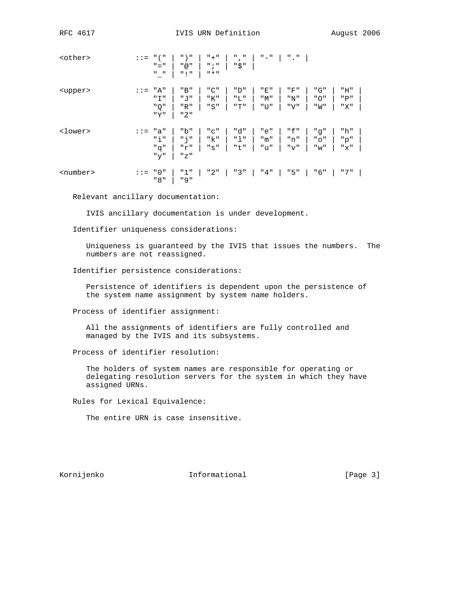| <other></other>   | $: :=$        | $\mathsf{H}$ ( $\mathsf{H}$<br>$" = "$<br>$\mathbf{u}=\mathbf{u}$ | $"$ ) "<br>" @ "<br>"!"    | $" + "$<br>$"$ ; "<br>$\mathsf{H}$ $\star$ $\mathsf{H}$ | Ш<br>$\mathbf{r}^{\mathrm{m}}$<br>"\$" | $^{\rm II}$ $ ^{\rm II}$ | $"$ ."            |                     |                   |
|-------------------|---------------|-------------------------------------------------------------------|----------------------------|---------------------------------------------------------|----------------------------------------|--------------------------|-------------------|---------------------|-------------------|
| <upper></upper>   | $=$           | "A"<br>" I "<br>" Q "<br>"Y"                                      | "B"<br>" ד<br>"R"<br>" Z " | "C"<br>"K"<br>"S"                                       | "D"<br>"L"<br>"T"                      | "E"<br>"M"<br>"U"        | "F"<br>"N"<br>"V" | "G"<br>" O "<br>"W" | "H"<br>"P"<br>"X" |
| <lower></lower>   | $: \, : \, =$ | "a"<br>" ' '<br>"g"<br>" $y$ "                                    | "b"<br>"i"<br>"r"<br>"Z"   | "C"<br>"k"<br>"s"                                       | "d"<br>"1"<br>"t"                      | "e"<br>"m"<br>"u"        | "f"<br>"n"<br>"v" | "g"<br>"0"<br>" w " | "h"<br>"p"<br>"x" |
| <number></number> | $: := "0"$    | "8"                                                               | "1"<br>" 9 "               | "2"                                                     | "3"                                    | "4"                      | "5"               | "6"                 | " 7 "             |

Relevant ancillary documentation:

IVIS ancillary documentation is under development.

Identifier uniqueness considerations:

 Uniqueness is guaranteed by the IVIS that issues the numbers. The numbers are not reassigned.

Identifier persistence considerations:

 Persistence of identifiers is dependent upon the persistence of the system name assignment by system name holders.

Process of identifier assignment:

 All the assignments of identifiers are fully controlled and managed by the IVIS and its subsystems.

Process of identifier resolution:

 The holders of system names are responsible for operating or delegating resolution servers for the system in which they have assigned URNs.

Rules for Lexical Equivalence:

The entire URN is case insensitive.

Kornijenko 1nformational (Page 3)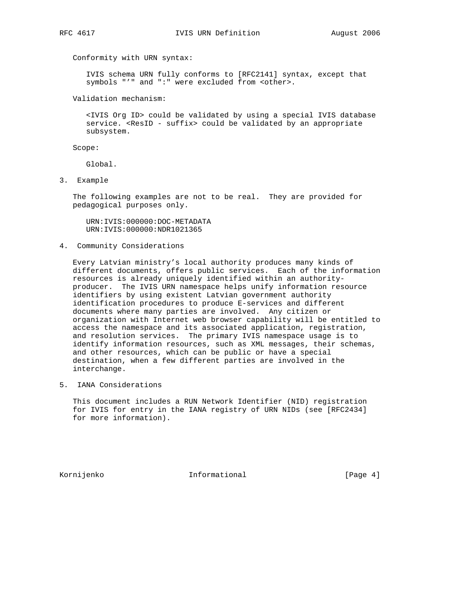Conformity with URN syntax:

 IVIS schema URN fully conforms to [RFC2141] syntax, except that symbols "'" and ":" were excluded from <other>.

Validation mechanism:

 <IVIS Org ID> could be validated by using a special IVIS database service. <ResID - suffix> could be validated by an appropriate subsystem.

Scope:

Global.

3. Example

 The following examples are not to be real. They are provided for pedagogical purposes only.

 URN:IVIS:000000:DOC-METADATA URN:IVIS:000000:NDR1021365

4. Community Considerations

 Every Latvian ministry's local authority produces many kinds of different documents, offers public services. Each of the information resources is already uniquely identified within an authority producer. The IVIS URN namespace helps unify information resource identifiers by using existent Latvian government authority identification procedures to produce E-services and different documents where many parties are involved. Any citizen or organization with Internet web browser capability will be entitled to access the namespace and its associated application, registration, and resolution services. The primary IVIS namespace usage is to identify information resources, such as XML messages, their schemas, and other resources, which can be public or have a special destination, when a few different parties are involved in the interchange.

5. IANA Considerations

 This document includes a RUN Network Identifier (NID) registration for IVIS for entry in the IANA registry of URN NIDs (see [RFC2434] for more information).

Kornijenko 100 Informational 1999 (Page 4)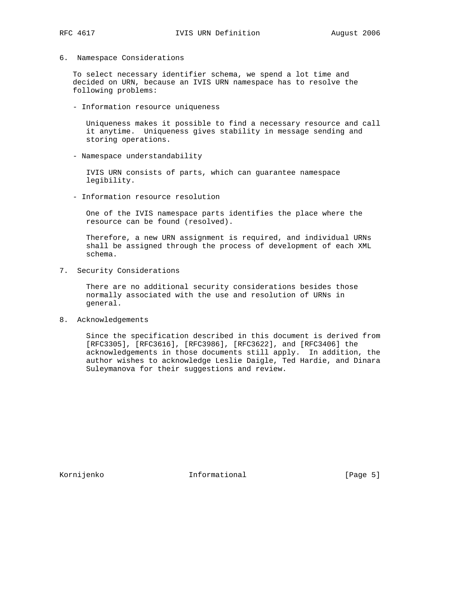6. Namespace Considerations

 To select necessary identifier schema, we spend a lot time and decided on URN, because an IVIS URN namespace has to resolve the following problems:

- Information resource uniqueness

 Uniqueness makes it possible to find a necessary resource and call it anytime. Uniqueness gives stability in message sending and storing operations.

- Namespace understandability

 IVIS URN consists of parts, which can guarantee namespace legibility.

- Information resource resolution

 One of the IVIS namespace parts identifies the place where the resource can be found (resolved).

 Therefore, a new URN assignment is required, and individual URNs shall be assigned through the process of development of each XML schema.

7. Security Considerations

 There are no additional security considerations besides those normally associated with the use and resolution of URNs in general.

8. Acknowledgements

 Since the specification described in this document is derived from [RFC3305], [RFC3616], [RFC3986], [RFC3622], and [RFC3406] the acknowledgements in those documents still apply. In addition, the author wishes to acknowledge Leslie Daigle, Ted Hardie, and Dinara Suleymanova for their suggestions and review.

Kornijenko 100 Informational (Page 5)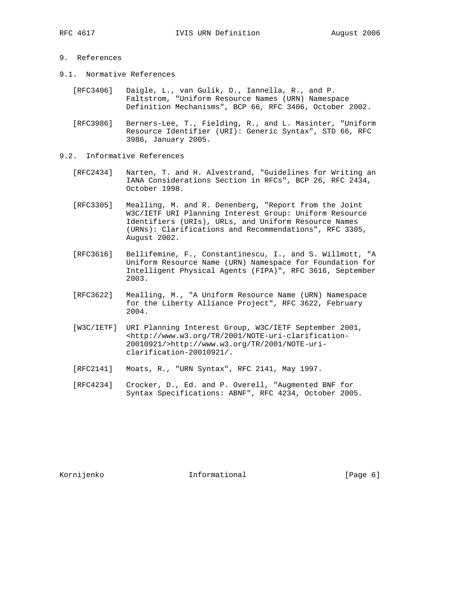## 9. References

- 9.1. Normative References
- [RFC3406] Daigle, L., van Gulik, D., Iannella, R., and P. Faltstrom, "Uniform Resource Names (URN) Namespace Definition Mechanisms", BCP 66, RFC 3406, October 2002.
	- [RFC3986] Berners-Lee, T., Fielding, R., and L. Masinter, "Uniform Resource Identifier (URI): Generic Syntax", STD 66, RFC 3986, January 2005.
- 9.2. Informative References
	- [RFC2434] Narten, T. and H. Alvestrand, "Guidelines for Writing an IANA Considerations Section in RFCs", BCP 26, RFC 2434, October 1998.
	- [RFC3305] Mealling, M. and R. Denenberg, "Report from the Joint W3C/IETF URI Planning Interest Group: Uniform Resource Identifiers (URIs), URLs, and Uniform Resource Names (URNs): Clarifications and Recommendations", RFC 3305, August 2002.
	- [RFC3616] Bellifemine, F., Constantinescu, I., and S. Willmott, "A Uniform Resource Name (URN) Namespace for Foundation for Intelligent Physical Agents (FIPA)", RFC 3616, September 2003.
	- [RFC3622] Mealling, M., "A Uniform Resource Name (URN) Namespace for the Liberty Alliance Project", RFC 3622, February 2004.
	- [W3C/IETF] URI Planning Interest Group, W3C/IETF September 2001, <http://www.w3.org/TR/2001/NOTE-uri-clarification- 20010921/>http://www.w3.org/TR/2001/NOTE-uri clarification-20010921/.
	- [RFC2141] Moats, R., "URN Syntax", RFC 2141, May 1997.
	- [RFC4234] Crocker, D., Ed. and P. Overell, "Augmented BNF for Syntax Specifications: ABNF", RFC 4234, October 2005.

Kornijenko 100 Informational (Page 6)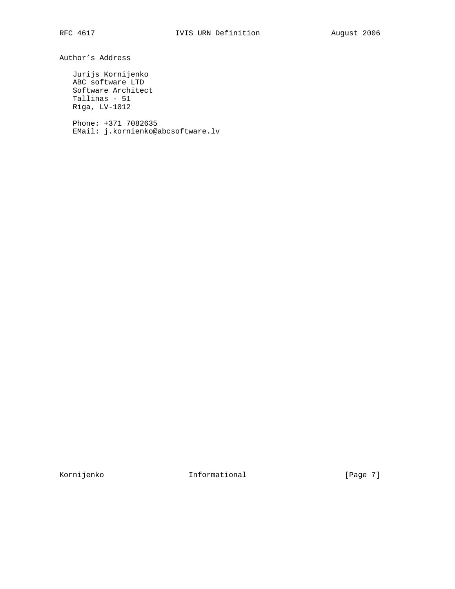Author's Address

 Jurijs Kornijenko ABC software LTD Software Architect Tallinas - 51 Riga, LV-1012

 Phone: +371 7082635 EMail: j.kornienko@abcsoftware.lv

Kornijenko 100 Informational 100 (Page 7)